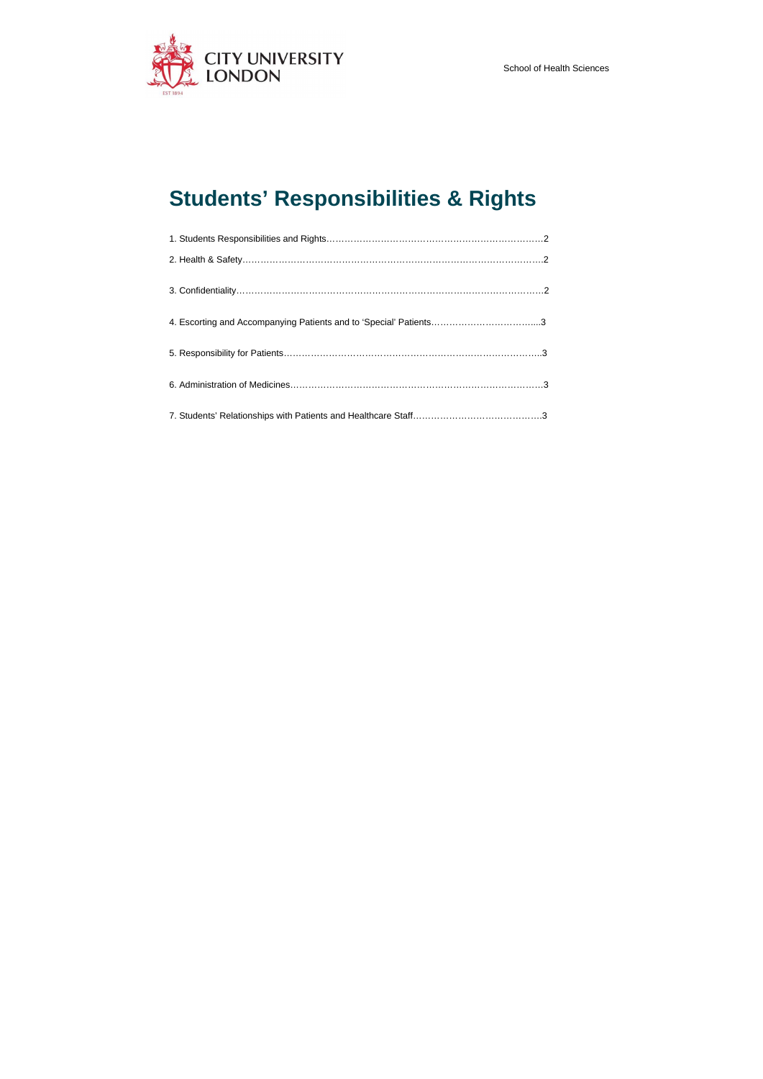

# **Students' Responsibilities & Rights**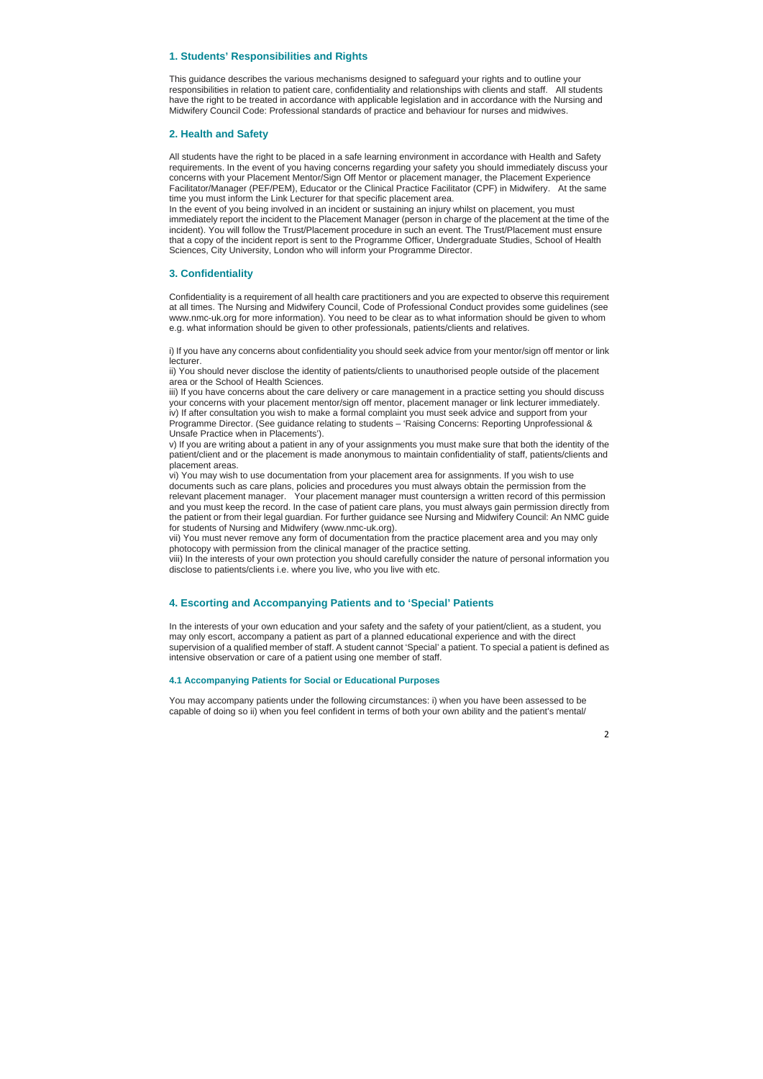## **1. Students' Responsibilities and Rights**

This guidance describes the various mechanisms designed to safeguard your rights and to outline your responsibilities in relation to patient care, confidentiality and relationships with clients and staff. All students have the right to be treated in accordance with applicable legislation and in accordance with the Nursing and Midwifery Council Code: Professional standards of practice and behaviour for nurses and midwives.

#### **2. Health and Safety**

All students have the right to be placed in a safe learning environment in accordance with Health and Safety requirements. In the event of you having concerns regarding your safety you should immediately discuss your concerns with your Placement Mentor/Sign Off Mentor or placement manager, the Placement Experience Facilitator/Manager (PEF/PEM), Educator or the Clinical Practice Facilitator (CPF) in Midwifery. At the same time you must inform the Link Lecturer for that specific placement area.

i) If you have any concerns about confidentiality you should seek advice from your mentor/sign off mentor or link lecturer.<br>ii) You should never disclose the identity of patients/clients to unauthorised people outside of the placement

In the event of you being involved in an incident or sustaining an injury whilst on placement, you must immediately report the incident to the Placement Manager (person in charge of the placement at the time of the incident). You will follow the Trust/Placement procedure in such an event. The Trust/Placement must ensure that a copy of the incident report is sent to the Programme Officer, Undergraduate Studies, School of Health Sciences, City University, London who will inform your Programme Director.

## **3. Confidentiality**

documents such as care plans, policies and procedures you must always obtain the permission from the relevant placement manager. Your placement manager must countersign a written record of this permission and you must keep the record. In the case of patient care plans, you must always gain permission directly from the patient or from their legal guardian. For further guidance see Nursing and Midwifery Council: An NMC guide for students of Nursing and Midwifery (www.nmc-uk.org).

Confidentiality is a requirement of all health care practitioners and you are expected to observe this requirement at all times. The Nursing and Midwifery Council, Code of Professional Conduct provides some guidelines (see www.nmc-uk.org for more information). You need to be clear as to what information should be given to whom e.g. what information should be given to other professionals, patients/clients and relatives.

vii) You must never remove any form of documentation from the practice placement area and you may only photocopy with permission from the clinical manager of the practice setting.

area or the School of Health Sciences.

iii) If you have concerns about the care delivery or care management in a practice setting you should discuss your concerns with your placement mentor/sign off mentor, placement manager or link lecturer immediately. iv) If after consultation you wish to make a formal complaint you must seek advice and support from your Programme Director. (See guidance relating to students – 'Raising Concerns: Reporting Unprofessional &

Unsafe Practice when in Placements').<br>v) If you are writing about a patient in any of your assignments you must make sure that both the identity of the patient/client and or the placement is made anonymous to maintain confidentiality of staff, patients/clients and placement areas.<br>vi) You may wish to use documentation from your placement area for assignments. If you wish to use

viii) In the interests of your own protection you should carefully consider the nature of personal information you disclose to patients/clients i.e. where you live, who you live with etc.

## **4. Escorting and Accompanying Patients and to 'Special' Patients**

In the interests of your own education and your safety and the safety of your patient/client, as a student, you may only escort, accompany a patient as part of a planned educational experience and with the direct supervision of a qualified member of staff. A student cannot 'Special' a patient. To special a patient is defined as intensive observation or care of a patient using one member of staff.

## **4.1 Accompanying Patients for Social or Educational Purposes**

You may accompany patients under the following circumstances: i) when you have been assessed to be capable of doing so ii) when you feel confident in terms of both your own ability and the patient's mental/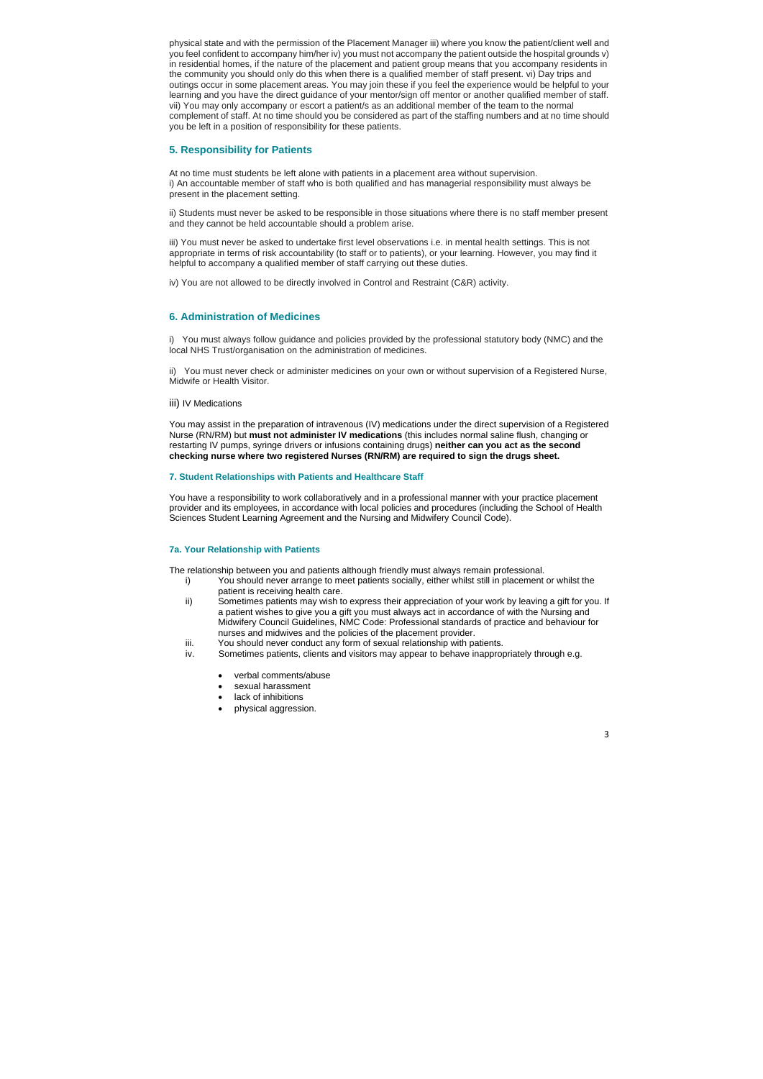physical state and with the permission of the Placement Manager iii) where you know the patient/client well and you feel confident to accompany him/her iv) you must not accompany the patient outside the hospital grounds v) in residential homes, if the nature of the placement and patient group means that you accompany residents in the community you should only do this when there is a qualified member of staff present. vi) Day trips and outings occur in some placement areas. You may join these if you feel the experience would be helpful to your learning and you have the direct guidance of your mentor/sign off mentor or another qualified member of staff. vii) You may only accompany or escort a patient/s as an additional member of the team to the normal complement of staff. At no time should you be considered as part of the staffing numbers and at no time should you be left in a position of responsibility for these patients.

# **5. Responsibility for Patients**

At no time must students be left alone with patients in a placement area without supervision. i) An accountable member of staff who is both qualified and has managerial responsibility must always be present in the placement setting.

ii) Students must never be asked to be responsible in those situations where there is no staff member present and they cannot be held accountable should a problem arise.

iii) You must never be asked to undertake first level observations i.e. in mental health settings. This is not appropriate in terms of risk accountability (to staff or to patients), or your learning. However, you may find it helpful to accompany a qualified member of staff carrying out these duties.

iv) You are not allowed to be directly involved in Control and Restraint (C&R) activity.

## **6. Administration of Medicines**

i) You must always follow guidance and policies provided by the professional statutory body (NMC) and the local NHS Trust/organisation on the administration of medicines.

ii) You must never check or administer medicines on your own or without supervision of a Registered Nurse, Midwife or Health Visitor.

iii) IV Medications

You may assist in the preparation of intravenous (IV) medications under the direct supervision of a Registered Nurse (RN/RM) but **must not administer IV medications** (this includes normal saline flush, changing or restarting IV pumps, syringe drivers or infusions containing drugs) **neither can you act as the second checking nurse where two registered Nurses (RN/RM) are required to sign the drugs sheet.** 

## **7. Student Relationships with Patients and Healthcare Staff**

You have a responsibility to work collaboratively and in a professional manner with your practice placement provider and its employees, in accordance with local policies and procedures (including the School of Health Sciences Student Learning Agreement and the Nursing and Midwifery Council Code).

## **7a. Your Relationship with Patients**

The relationship between you and patients although friendly must always remain professional.

- i) You should never arrange to meet patients socially, either whilst still in placement or whilst the patient is receiving health care.
- ii) Sometimes patients may wish to express their appreciation of your work by leaving a gift for you. If a patient wishes to give you a gift you must always act in accordance of with the Nursing and Midwifery Council Guidelines, NMC Code: Professional standards of practice and behaviour for nurses and midwives and the policies of the placement provider.
- iii. You should never conduct any form of sexual relationship with patients.
- iv. Sometimes patients, clients and visitors may appear to behave inappropriately through e.g.
	- verbal comments/abuse
	- sexual harassment
	- lack of inhibitions
	- physical aggression.